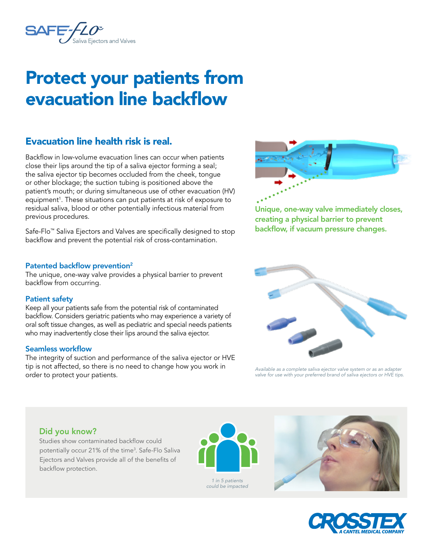

# Protect your patients from evacuation line backflow

# Evacuation line health risk is real.

Backflow in low-volume evacuation lines can occur when patients close their lips around the tip of a saliva ejector forming a seal; the saliva ejector tip becomes occluded from the cheek, tongue or other blockage; the suction tubing is positioned above the patient's mouth; or during simultaneous use of other evacuation (HV) equipment<sup>1</sup>. These situations can put patients at risk of exposure to residual saliva, blood or other potentially infectious material from previous procedures.

Safe-Flo™ Saliva Ejectors and Valves are specifically designed to stop backflow and prevent the potential risk of cross-contamination.

#### Patented backflow prevention<sup>2</sup>

The unique, one-way valve provides a physical barrier to prevent backflow from occurring.

#### Patient safety

Keep all your patients safe from the potential risk of contaminated backflow. Considers geriatric patients who may experience a variety of oral soft tissue changes, as well as pediatric and special needs patients who may inadvertently close their lips around the saliva ejector.

#### Seamless workflow

The integrity of suction and performance of the saliva ejector or HVE tip is not affected, so there is no need to change how you work in order to protect your patients.



Unique, one-way valve immediately closes, creating a physical barrier to prevent backflow, if vacuum pressure changes.



*Available as a complete saliva ejector valve system or as an adapter valve for use with your preferred brand of saliva ejectors or HVE tips.*

# Did you know?

Studies show contaminated backflow could potentially occur 21% of the time<sup>3</sup>. Safe-Flo Saliva Ejectors and Valves provide all of the benefits of backflow protection.



*could be impacted*